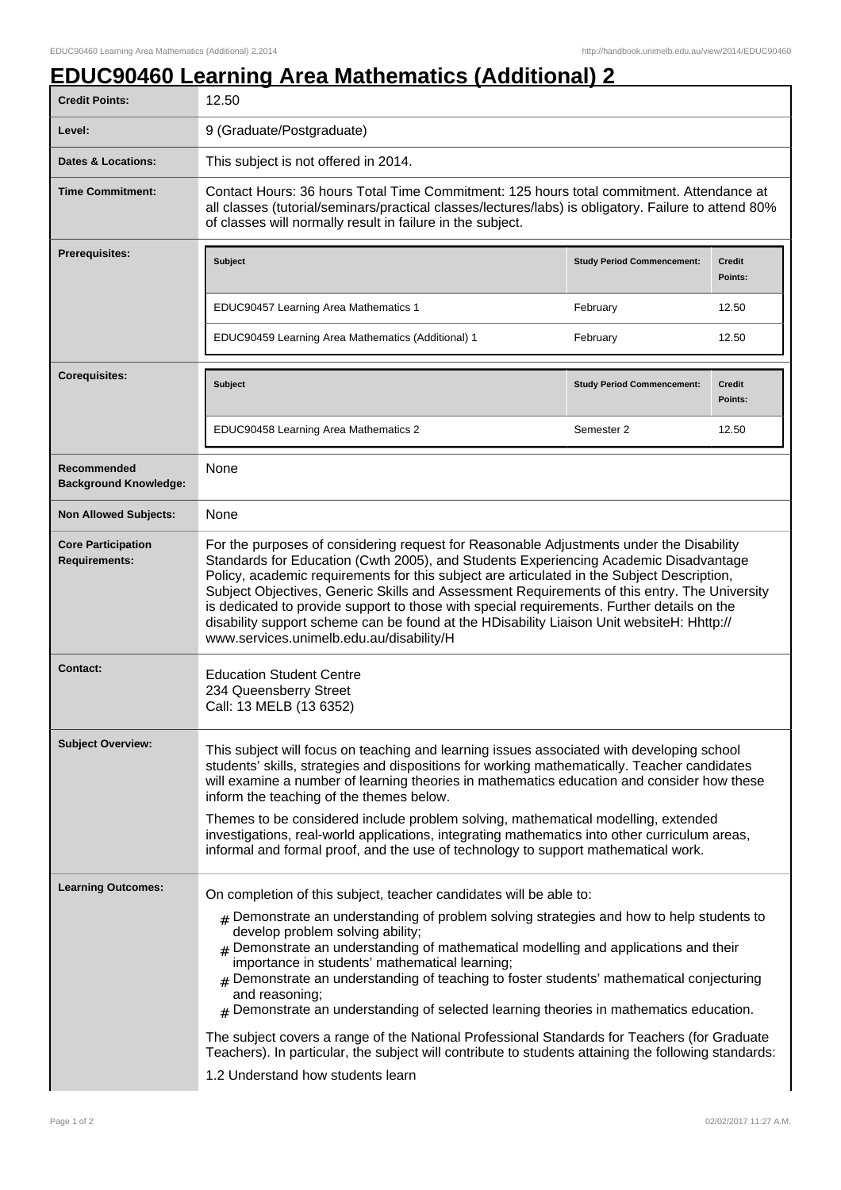## **EDUC90460 Learning Area Mathematics (Additional) 2**

| <b>Credit Points:</b>                             | 12.50                                                                                                                                                                                                                                                                                                                                                                                                                                                                                                                                                                                                                                                                                                                                                                                                       |                                   |                          |
|---------------------------------------------------|-------------------------------------------------------------------------------------------------------------------------------------------------------------------------------------------------------------------------------------------------------------------------------------------------------------------------------------------------------------------------------------------------------------------------------------------------------------------------------------------------------------------------------------------------------------------------------------------------------------------------------------------------------------------------------------------------------------------------------------------------------------------------------------------------------------|-----------------------------------|--------------------------|
| Level:                                            | 9 (Graduate/Postgraduate)                                                                                                                                                                                                                                                                                                                                                                                                                                                                                                                                                                                                                                                                                                                                                                                   |                                   |                          |
| <b>Dates &amp; Locations:</b>                     | This subject is not offered in 2014.                                                                                                                                                                                                                                                                                                                                                                                                                                                                                                                                                                                                                                                                                                                                                                        |                                   |                          |
| <b>Time Commitment:</b>                           | Contact Hours: 36 hours Total Time Commitment: 125 hours total commitment. Attendance at<br>all classes (tutorial/seminars/practical classes/lectures/labs) is obligatory. Failure to attend 80%<br>of classes will normally result in failure in the subject.                                                                                                                                                                                                                                                                                                                                                                                                                                                                                                                                              |                                   |                          |
| Prerequisites:                                    | Subject                                                                                                                                                                                                                                                                                                                                                                                                                                                                                                                                                                                                                                                                                                                                                                                                     | <b>Study Period Commencement:</b> | <b>Credit</b><br>Points: |
|                                                   | EDUC90457 Learning Area Mathematics 1                                                                                                                                                                                                                                                                                                                                                                                                                                                                                                                                                                                                                                                                                                                                                                       | February                          | 12.50                    |
|                                                   | EDUC90459 Learning Area Mathematics (Additional) 1                                                                                                                                                                                                                                                                                                                                                                                                                                                                                                                                                                                                                                                                                                                                                          | February                          | 12.50                    |
| <b>Corequisites:</b>                              | Subject                                                                                                                                                                                                                                                                                                                                                                                                                                                                                                                                                                                                                                                                                                                                                                                                     | <b>Study Period Commencement:</b> | <b>Credit</b><br>Points: |
|                                                   | EDUC90458 Learning Area Mathematics 2                                                                                                                                                                                                                                                                                                                                                                                                                                                                                                                                                                                                                                                                                                                                                                       | Semester 2                        | 12.50                    |
| Recommended<br><b>Background Knowledge:</b>       | None                                                                                                                                                                                                                                                                                                                                                                                                                                                                                                                                                                                                                                                                                                                                                                                                        |                                   |                          |
| <b>Non Allowed Subjects:</b>                      | None                                                                                                                                                                                                                                                                                                                                                                                                                                                                                                                                                                                                                                                                                                                                                                                                        |                                   |                          |
| <b>Core Participation</b><br><b>Requirements:</b> | For the purposes of considering request for Reasonable Adjustments under the Disability<br>Standards for Education (Cwth 2005), and Students Experiencing Academic Disadvantage<br>Policy, academic requirements for this subject are articulated in the Subject Description,<br>Subject Objectives, Generic Skills and Assessment Requirements of this entry. The University<br>is dedicated to provide support to those with special requirements. Further details on the<br>disability support scheme can be found at the HDisability Liaison Unit websiteH: Hhttp://<br>www.services.unimelb.edu.au/disability/H                                                                                                                                                                                        |                                   |                          |
| <b>Contact:</b>                                   | <b>Education Student Centre</b><br>234 Queensberry Street<br>Call: 13 MELB (13 6352)                                                                                                                                                                                                                                                                                                                                                                                                                                                                                                                                                                                                                                                                                                                        |                                   |                          |
| <b>Subject Overview:</b>                          | This subject will focus on teaching and learning issues associated with developing school<br>students' skills, strategies and dispositions for working mathematically. Teacher candidates<br>will examine a number of learning theories in mathematics education and consider how these<br>inform the teaching of the themes below.<br>Themes to be considered include problem solving, mathematical modelling, extended<br>investigations, real-world applications, integrating mathematics into other curriculum areas,<br>informal and formal proof, and the use of technology to support mathematical work.                                                                                                                                                                                             |                                   |                          |
| <b>Learning Outcomes:</b>                         | On completion of this subject, teacher candidates will be able to:<br>$#$ Demonstrate an understanding of problem solving strategies and how to help students to<br>develop problem solving ability;<br>Demonstrate an understanding of mathematical modelling and applications and their<br>importance in students' mathematical learning;<br>$_{\rm H}$ Demonstrate an understanding of teaching to foster students' mathematical conjecturing<br>and reasoning;<br>$#$ Demonstrate an understanding of selected learning theories in mathematics education.<br>The subject covers a range of the National Professional Standards for Teachers (for Graduate<br>Teachers). In particular, the subject will contribute to students attaining the following standards:<br>1.2 Understand how students learn |                                   |                          |